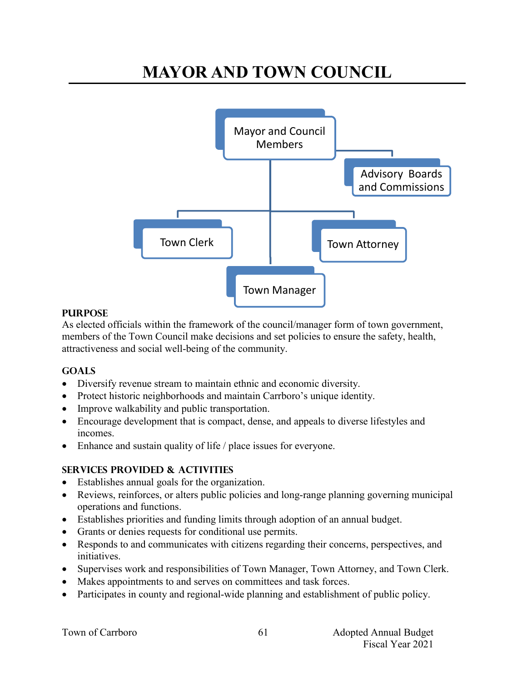# **MAYOR AND TOWN COUNCIL**



#### **PURPOSE**

As elected officials within the framework of the council/manager form of town government, members of the Town Council make decisions and set policies to ensure the safety, health, attractiveness and social well-being of the community.

## **Goals**

- Diversify revenue stream to maintain ethnic and economic diversity.
- Protect historic neighborhoods and maintain Carrboro's unique identity.
- Improve walkability and public transportation.
- Encourage development that is compact, dense, and appeals to diverse lifestyles and incomes.
- Enhance and sustain quality of life / place issues for everyone.

## **Services provided & activities**

- Establishes annual goals for the organization.
- Reviews, reinforces, or alters public policies and long-range planning governing municipal operations and functions.
- Establishes priorities and funding limits through adoption of an annual budget.
- Grants or denies requests for conditional use permits.
- Responds to and communicates with citizens regarding their concerns, perspectives, and initiatives.
- Supervises work and responsibilities of Town Manager, Town Attorney, and Town Clerk.
- Makes appointments to and serves on committees and task forces.
- Participates in county and regional-wide planning and establishment of public policy.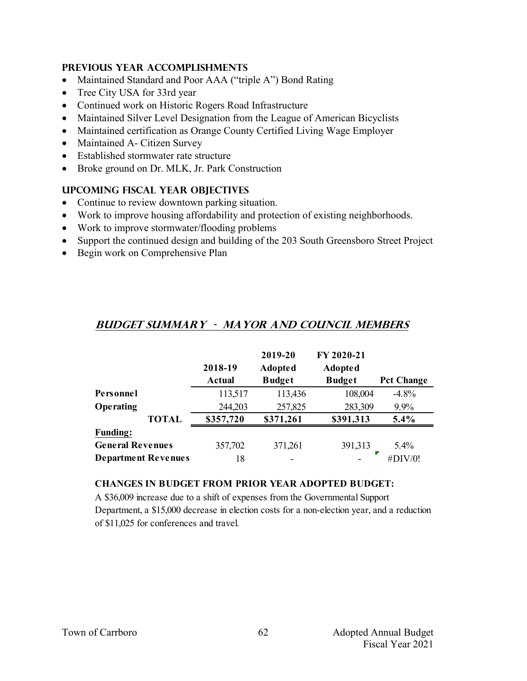#### **Previous year accomplishments**

- Maintained Standard and Poor AAA ("triple A") Bond Rating
- Tree City USA for 33rd year
- Continued work on Historic Rogers Road Infrastructure
- Maintained Silver Level Designation from the League of American Bicyclists
- Maintained certification as Orange County Certified Living Wage Employer
- Maintained A- Citizen Survey
- Established stormwater rate structure
- Broke ground on Dr. MLK, Jr. Park Construction

#### **Upcoming Fiscal year objectives**

- Continue to review downtown parking situation.
- Work to improve housing affordability and protection of existing neighborhoods.
- Work to improve stormwater/flooding problems
- Support the continued design and building of the 203 South Greensboro Street Project
- Begin work on Comprehensive Plan

|                            |           | 2019-20                  | FY 2020-21     |                   |
|----------------------------|-----------|--------------------------|----------------|-------------------|
|                            | 2018-19   | <b>Adopted</b>           | <b>Adopted</b> |                   |
|                            | Actual    | <b>Budget</b>            | <b>Budget</b>  | <b>Pct Change</b> |
| Personnel                  | 113,517   | 113,436                  | 108,004        | $-4.8%$           |
| Operating                  | 244,203   | 257,825                  | 283,309        | 9.9%              |
| <b>TOTAL</b>               | \$357,720 | \$371,261                | \$391,313      | $5.4\%$           |
| <b>Funding:</b>            |           |                          |                |                   |
| <b>General Revenues</b>    | 357,702   | 371,261                  | 391,313        | 5.4%              |
| <b>Department Revenues</b> | 18        | $\overline{\phantom{0}}$ |                | #DIV/0!           |

## **Budget summary - Mayor and COUNCIL MEMBERS**

#### **CHANGES IN BUDGET FROM PRIOR YEAR ADOPTED BUDGET:**

A \$36,009 increase due to a shift of expenses from the Governmental Support Department, a \$15,000 decrease in election costs for a non-election year, and a reduction of \$11,025 for conferences and travel.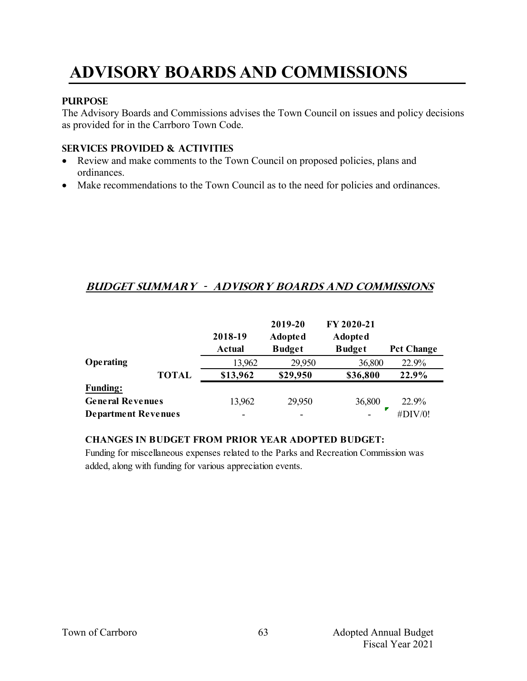# **ADVISORY BOARDS AND COMMISSIONS**

#### **PURPOSE**

The Advisory Boards and Commissions advises the Town Council on issues and policy decisions as provided for in the Carrboro Town Code.

## **Services provided & activities**

- Review and make comments to the Town Council on proposed policies, plans and ordinances.
- Make recommendations to the Town Council as to the need for policies and ordinances.

## **Budget summary - advisory boards and commissions**

|                            |              | 2018-19<br>Actual | 2019-20<br><b>Adopted</b><br><b>Budget</b> | FY 2020-21<br><b>Adopted</b><br><b>Budget</b> | <b>Pct Change</b> |
|----------------------------|--------------|-------------------|--------------------------------------------|-----------------------------------------------|-------------------|
| Operating                  |              | 13,962            | 29,950                                     | 36,800                                        | 22.9%             |
|                            | <b>TOTAL</b> | \$13,962          | \$29,950                                   | \$36,800                                      | 22.9%             |
| <b>Funding:</b>            |              |                   |                                            |                                               |                   |
| <b>General Revenues</b>    |              | 13,962            | 29,950                                     | 36,800                                        | 22.9%             |
| <b>Department Revenues</b> |              | -                 | $\overline{\phantom{0}}$                   |                                               | #DIV/0!           |

#### **CHANGES IN BUDGET FROM PRIOR YEAR ADOPTED BUDGET:**

Funding for miscellaneous expenses related to the Parks and Recreation Commission was added, along with funding for various appreciation events.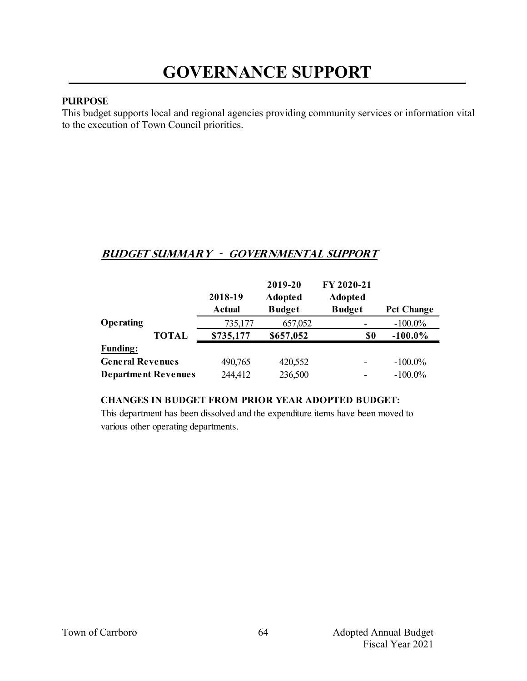#### **PURPOSE**

This budget supports local and regional agencies providing community services or information vital to the execution of Town Council priorities.

## **Budget summary - Governmental support**

|                            | 2018-19       | 2019-20<br><b>Adopted</b> | FY 2020-21<br><b>Adopted</b> |                   |
|----------------------------|---------------|---------------------------|------------------------------|-------------------|
|                            | <b>Actual</b> | <b>Budget</b>             | <b>Budget</b>                | <b>Pct Change</b> |
| Operating                  | 735,177       | 657,052                   |                              | $-100.0\%$        |
| <b>TOTAL</b>               | \$735,177     | \$657,052                 | \$0                          | $-100.0\%$        |
| <b>Funding:</b>            |               |                           |                              |                   |
| <b>General Revenues</b>    | 490,765       | 420,552                   |                              | $-100.0\%$        |
| <b>Department Revenues</b> | 244,412       | 236,500                   |                              | $-100.0\%$        |

#### **CHANGES IN BUDGET FROM PRIOR YEAR ADOPTED BUDGET:**

This department has been dissolved and the expenditure items have been moved to various other operating departments.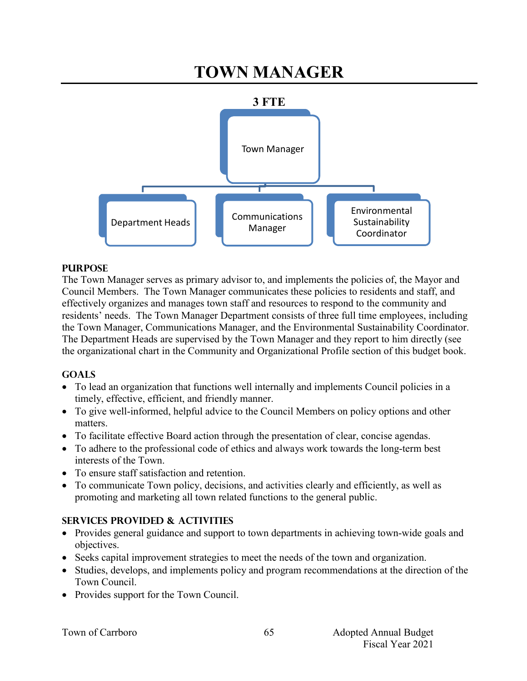# **TOWN MANAGER**



#### **PURPOSE**

The Town Manager serves as primary advisor to, and implements the policies of, the Mayor and Council Members. The Town Manager communicates these policies to residents and staff, and effectively organizes and manages town staff and resources to respond to the community and residents' needs. The Town Manager Department consists of three full time employees, including the Town Manager, Communications Manager, and the Environmental Sustainability Coordinator. The Department Heads are supervised by the Town Manager and they report to him directly (see the organizational chart in the Community and Organizational Profile section of this budget book.

#### **GOALS**

- To lead an organization that functions well internally and implements Council policies in a timely, effective, efficient, and friendly manner.
- To give well-informed, helpful advice to the Council Members on policy options and other matters.
- To facilitate effective Board action through the presentation of clear, concise agendas.
- To adhere to the professional code of ethics and always work towards the long-term best interests of the Town.
- To ensure staff satisfaction and retention.
- To communicate Town policy, decisions, and activities clearly and efficiently, as well as promoting and marketing all town related functions to the general public.

## **SERVICES PROVIDED & ACTIVITIES**

- Provides general guidance and support to town departments in achieving town-wide goals and objectives.
- Seeks capital improvement strategies to meet the needs of the town and organization.
- Studies, develops, and implements policy and program recommendations at the direction of the Town Council.
- Provides support for the Town Council.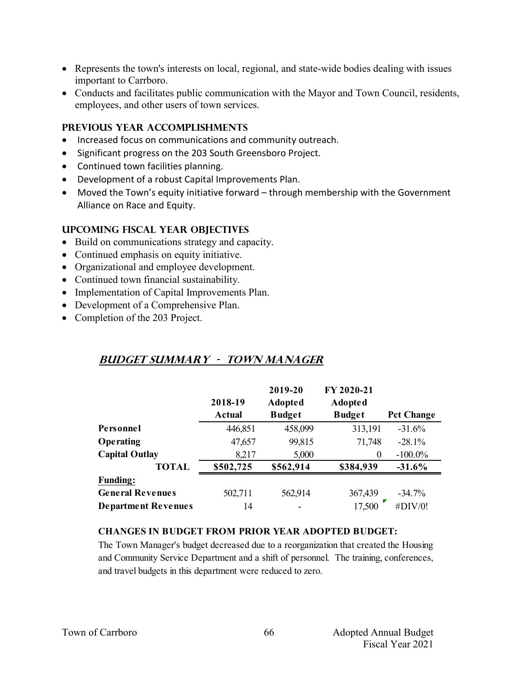- Represents the town's interests on local, regional, and state-wide bodies dealing with issues important to Carrboro.
- Conducts and facilitates public communication with the Mayor and Town Council, residents, employees, and other users of town services.

#### **PREVIOUS YEAR ACCOMPLISHMENTS**

- Increased focus on communications and community outreach.
- Significant progress on the 203 South Greensboro Project.
- Continued town facilities planning.
- Development of a robust Capital Improvements Plan.
- Moved the Town's equity initiative forward through membership with the Government Alliance on Race and Equity.

#### **UPCOMING FISCAL YEAR OBJECTIVES**

- Build on communications strategy and capacity.
- Continued emphasis on equity initiative.
- Organizational and employee development.
- Continued town financial sustainability.
- Implementation of Capital Improvements Plan.
- Development of a Comprehensive Plan.
- Completion of the 203 Project.

## **Budget summary - town manager**

|                            |               | 2019-20        | FY 2020-21     |                   |
|----------------------------|---------------|----------------|----------------|-------------------|
|                            | 2018-19       | <b>Adopted</b> | <b>Adopted</b> |                   |
|                            | <b>Actual</b> | <b>Budget</b>  | <b>Budget</b>  | <b>Pct Change</b> |
| Personnel                  | 446,851       | 458,099        | 313,191        | $-31.6%$          |
| Operating                  | 47,657        | 99,815         | 71,748         | $-28.1%$          |
| <b>Capital Outlay</b>      | 8,217         | 5,000          | $\theta$       | $-100.0\%$        |
| <b>TOTAL</b>               | \$502,725     | \$562,914      | \$384,939      | $-31.6%$          |
| <b>Funding:</b>            |               |                |                |                   |
| <b>General Revenues</b>    | 502,711       | 562,914        | 367,439        | $-34.7%$          |
| <b>Department Revenues</b> | 14            |                | 17,500         | #DIV/0!           |

#### **CHANGES IN BUDGET FROM PRIOR YEAR ADOPTED BUDGET:**

The Town Manager's budget decreased due to a reorganization that created the Housing and Community Service Department and a shift of personnel. The training, conferences, and travel budgets in this department were reduced to zero.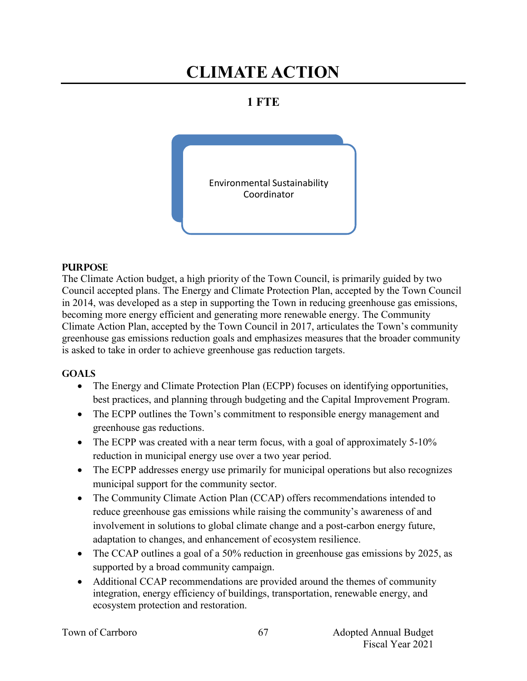# **CLIMATE ACTION**

## **1 FTE**



#### **PURPOSE**

The Climate Action budget, a high priority of the Town Council, is primarily guided by two Council accepted plans. The Energy and Climate Protection Plan, accepted by the Town Council in 2014, was developed as a step in supporting the Town in reducing greenhouse gas emissions, becoming more energy efficient and generating more renewable energy. The Community Climate Action Plan, accepted by the Town Council in 2017, articulates the Town's community greenhouse gas emissions reduction goals and emphasizes measures that the broader community is asked to take in order to achieve greenhouse gas reduction targets.

#### **GOALS**

- The Energy and Climate Protection Plan (ECPP) focuses on identifying opportunities, best practices, and planning through budgeting and the Capital Improvement Program.
- The ECPP outlines the Town's commitment to responsible energy management and greenhouse gas reductions.
- The ECPP was created with a near term focus, with a goal of approximately  $5-10\%$ reduction in municipal energy use over a two year period.
- The ECPP addresses energy use primarily for municipal operations but also recognizes municipal support for the community sector.
- The Community Climate Action Plan (CCAP) offers recommendations intended to reduce greenhouse gas emissions while raising the community's awareness of and involvement in solutions to global climate change and a post-carbon energy future, adaptation to changes, and enhancement of ecosystem resilience.
- The CCAP outlines a goal of a 50% reduction in greenhouse gas emissions by 2025, as supported by a broad community campaign.
- Additional CCAP recommendations are provided around the themes of community integration, energy efficiency of buildings, transportation, renewable energy, and ecosystem protection and restoration.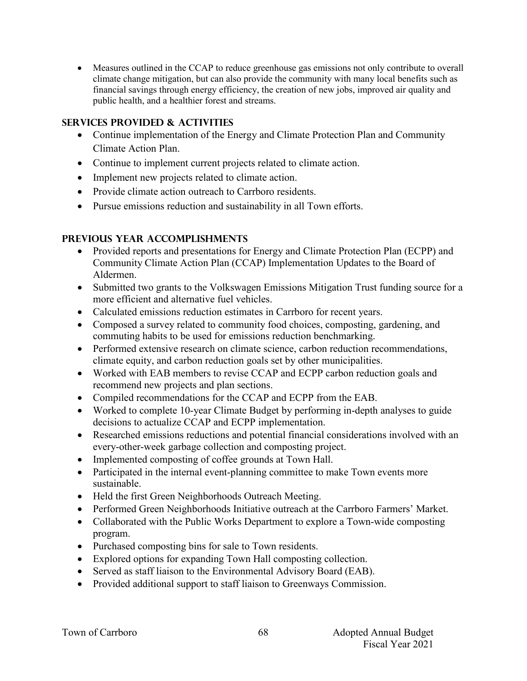Measures outlined in the CCAP to reduce greenhouse gas emissions not only contribute to overall climate change mitigation, but can also provide the community with many local benefits such as financial savings through energy efficiency, the creation of new jobs, improved air quality and public health, and a healthier forest and streams.

## **Services provided & activities**

- Continue implementation of the Energy and Climate Protection Plan and Community Climate Action Plan.
- Continue to implement current projects related to climate action.
- Implement new projects related to climate action.
- Provide climate action outreach to Carrboro residents.
- Pursue emissions reduction and sustainability in all Town efforts.

## **Previous year accomplishments**

- Provided reports and presentations for Energy and Climate Protection Plan (ECPP) and Community Climate Action Plan (CCAP) Implementation Updates to the Board of Aldermen.
- Submitted two grants to the Volkswagen Emissions Mitigation Trust funding source for a more efficient and alternative fuel vehicles.
- Calculated emissions reduction estimates in Carrboro for recent years.
- Composed a survey related to community food choices, composting, gardening, and commuting habits to be used for emissions reduction benchmarking.
- Performed extensive research on climate science, carbon reduction recommendations, climate equity, and carbon reduction goals set by other municipalities.
- Worked with EAB members to revise CCAP and ECPP carbon reduction goals and recommend new projects and plan sections.
- Compiled recommendations for the CCAP and ECPP from the EAB.
- Worked to complete 10-year Climate Budget by performing in-depth analyses to guide decisions to actualize CCAP and ECPP implementation.
- Researched emissions reductions and potential financial considerations involved with an every-other-week garbage collection and composting project.
- Implemented composting of coffee grounds at Town Hall.
- Participated in the internal event-planning committee to make Town events more sustainable.
- Held the first Green Neighborhoods Outreach Meeting.
- Performed Green Neighborhoods Initiative outreach at the Carrboro Farmers' Market.
- Collaborated with the Public Works Department to explore a Town-wide composting program.
- Purchased composting bins for sale to Town residents.
- Explored options for expanding Town Hall composting collection.
- Served as staff liaison to the Environmental Advisory Board (EAB).
- Provided additional support to staff liaison to Greenways Commission.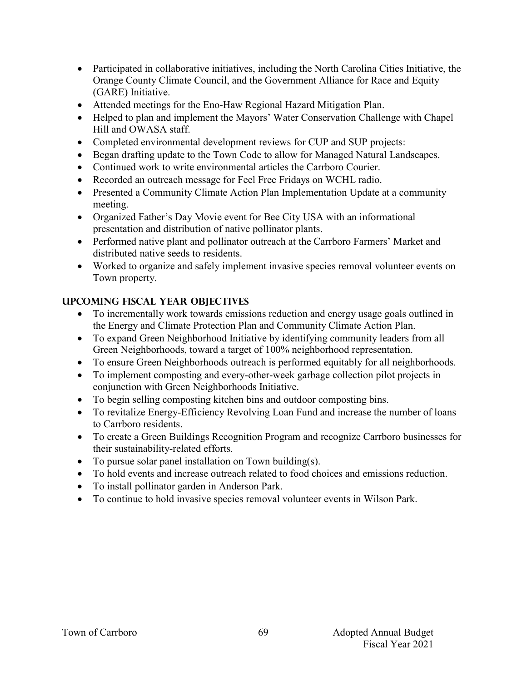- Participated in collaborative initiatives, including the North Carolina Cities Initiative, the Orange County Climate Council, and the Government Alliance for Race and Equity (GARE) Initiative.
- Attended meetings for the Eno-Haw Regional Hazard Mitigation Plan.
- Helped to plan and implement the Mayors' Water Conservation Challenge with Chapel Hill and OWASA staff.
- Completed environmental development reviews for CUP and SUP projects:
- Began drafting update to the Town Code to allow for Managed Natural Landscapes.
- Continued work to write environmental articles the Carrboro Courier.
- Recorded an outreach message for Feel Free Fridays on WCHL radio.
- Presented a Community Climate Action Plan Implementation Update at a community meeting.
- Organized Father's Day Movie event for Bee City USA with an informational presentation and distribution of native pollinator plants.
- Performed native plant and pollinator outreach at the Carrboro Farmers' Market and distributed native seeds to residents.
- Worked to organize and safely implement invasive species removal volunteer events on Town property.

## **Upcoming Fiscal year objectives**

- To incrementally work towards emissions reduction and energy usage goals outlined in the Energy and Climate Protection Plan and Community Climate Action Plan.
- To expand Green Neighborhood Initiative by identifying community leaders from all Green Neighborhoods, toward a target of 100% neighborhood representation.
- To ensure Green Neighborhoods outreach is performed equitably for all neighborhoods.
- To implement composting and every-other-week garbage collection pilot projects in conjunction with Green Neighborhoods Initiative.
- To begin selling composting kitchen bins and outdoor composting bins.
- To revitalize Energy-Efficiency Revolving Loan Fund and increase the number of loans to Carrboro residents.
- To create a Green Buildings Recognition Program and recognize Carrboro businesses for their sustainability-related efforts.
- To pursue solar panel installation on Town building(s).
- To hold events and increase outreach related to food choices and emissions reduction.
- To install pollinator garden in Anderson Park.
- To continue to hold invasive species removal volunteer events in Wilson Park.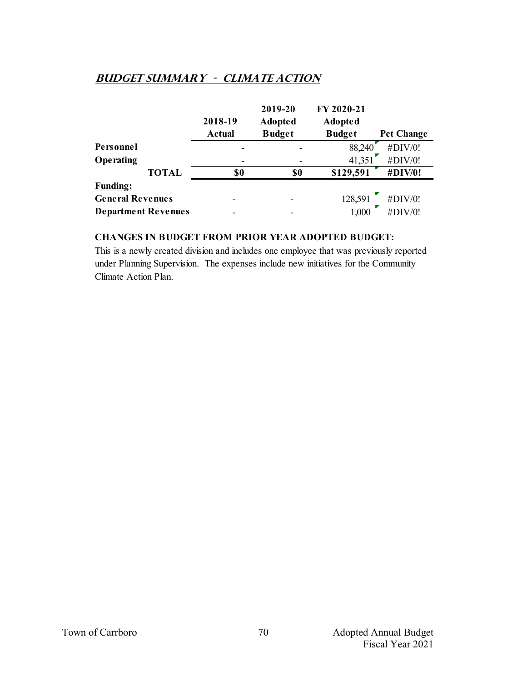## **Budget summary - CLIMATE ACTION**

|                            | 2018-19       | 2019-20<br><b>Adopted</b> | FY 2020-21<br><b>Adopted</b> |                   |
|----------------------------|---------------|---------------------------|------------------------------|-------------------|
|                            | <b>Actual</b> | <b>Budget</b>             | <b>Budget</b>                | <b>Pct Change</b> |
| Personnel                  |               |                           | 88,240                       | #DIV/0!           |
| Operating                  |               |                           | 41,351                       | #DIV/0!           |
| <b>TOTAL</b>               | \$0           | \$0                       | \$129,591                    | #DIV/0!           |
| <b>Funding:</b>            |               |                           |                              |                   |
| <b>General Revenues</b>    |               |                           | 128,591                      | #DIV/0!           |
| <b>Department Revenues</b> |               |                           | 1,000                        | #DIV/0!           |

## **CHANGES IN BUDGET FROM PRIOR YEAR ADOPTED BUDGET:**

This is a newly created division and includes one employee that was previously reported under Planning Supervision. The expenses include new initiatives for the Community Climate Action Plan.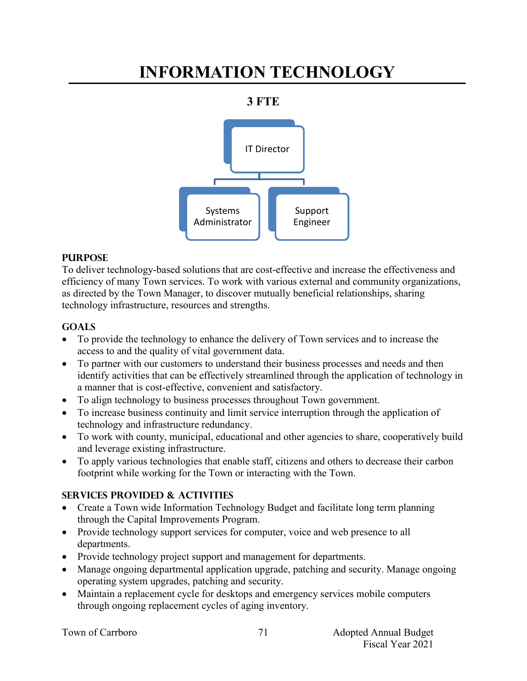# **INFORMATION TECHNOLOGY**

## **3 FTE**



## **PURPOSE**

To deliver technology-based solutions that are cost-effective and increase the effectiveness and efficiency of many Town services. To work with various external and community organizations, as directed by the Town Manager, to discover mutually beneficial relationships, sharing technology infrastructure, resources and strengths.

## **Goals**

- To provide the technology to enhance the delivery of Town services and to increase the access to and the quality of vital government data.
- To partner with our customers to understand their business processes and needs and then identify activities that can be effectively streamlined through the application of technology in a manner that is cost-effective, convenient and satisfactory.
- To align technology to business processes throughout Town government.
- To increase business continuity and limit service interruption through the application of technology and infrastructure redundancy.
- To work with county, municipal, educational and other agencies to share, cooperatively build and leverage existing infrastructure.
- To apply various technologies that enable staff, citizens and others to decrease their carbon footprint while working for the Town or interacting with the Town.

## **Services provided & activities**

- Create a Town wide Information Technology Budget and facilitate long term planning through the Capital Improvements Program.
- Provide technology support services for computer, voice and web presence to all departments.
- Provide technology project support and management for departments.
- Manage ongoing departmental application upgrade, patching and security. Manage ongoing operating system upgrades, patching and security.
- Maintain a replacement cycle for desktops and emergency services mobile computers through ongoing replacement cycles of aging inventory.

|  |  | Town of Carrboro |
|--|--|------------------|
|--|--|------------------|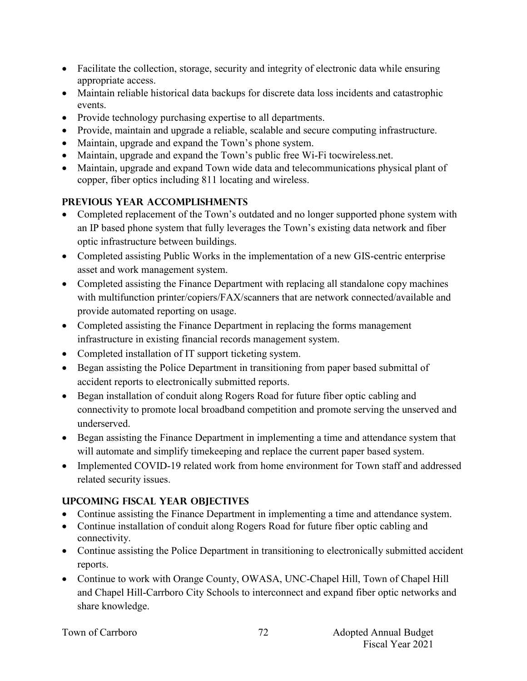- Facilitate the collection, storage, security and integrity of electronic data while ensuring appropriate access.
- Maintain reliable historical data backups for discrete data loss incidents and catastrophic events.
- Provide technology purchasing expertise to all departments.
- Provide, maintain and upgrade a reliable, scalable and secure computing infrastructure.
- Maintain, upgrade and expand the Town's phone system.
- Maintain, upgrade and expand the Town's public free Wi-Fi tocwireless.net.
- Maintain, upgrade and expand Town wide data and telecommunications physical plant of copper, fiber optics including 811 locating and wireless.

## **Previous year accomplishments**

- Completed replacement of the Town's outdated and no longer supported phone system with an IP based phone system that fully leverages the Town's existing data network and fiber optic infrastructure between buildings.
- Completed assisting Public Works in the implementation of a new GIS-centric enterprise asset and work management system.
- Completed assisting the Finance Department with replacing all standalone copy machines with multifunction printer/copiers/FAX/scanners that are network connected/available and provide automated reporting on usage.
- Completed assisting the Finance Department in replacing the forms management infrastructure in existing financial records management system.
- Completed installation of IT support ticketing system.
- Began assisting the Police Department in transitioning from paper based submittal of accident reports to electronically submitted reports.
- Began installation of conduit along Rogers Road for future fiber optic cabling and connectivity to promote local broadband competition and promote serving the unserved and underserved.
- Began assisting the Finance Department in implementing a time and attendance system that will automate and simplify timekeeping and replace the current paper based system.
- Implemented COVID-19 related work from home environment for Town staff and addressed related security issues.

## **Upcoming Fiscal year objectives**

- Continue assisting the Finance Department in implementing a time and attendance system.
- Continue installation of conduit along Rogers Road for future fiber optic cabling and connectivity.
- Continue assisting the Police Department in transitioning to electronically submitted accident reports.
- Continue to work with Orange County, OWASA, UNC-Chapel Hill, Town of Chapel Hill and Chapel Hill-Carrboro City Schools to interconnect and expand fiber optic networks and share knowledge.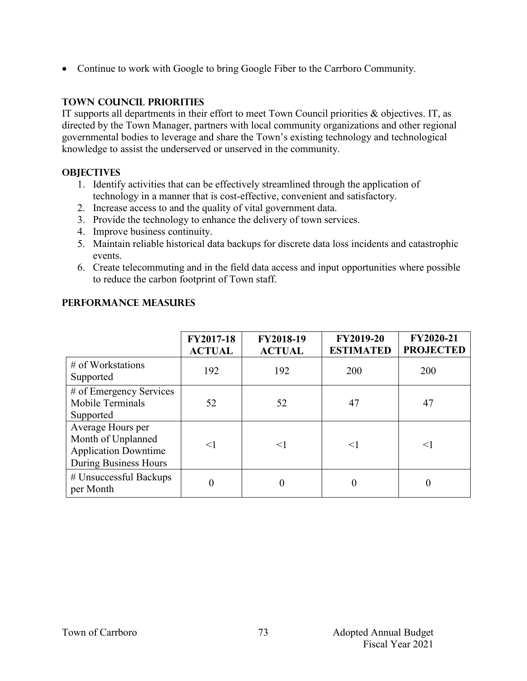• Continue to work with Google to bring Google Fiber to the Carrboro Community.

## **TOWN COUNCIL PRIORITIES**

IT supports all departments in their effort to meet Town Council priorities & objectives. IT, as directed by the Town Manager, partners with local community organizations and other regional governmental bodies to leverage and share the Town's existing technology and technological knowledge to assist the underserved or unserved in the community.

## **OBJECTIVES**

- 1. Identify activities that can be effectively streamlined through the application of technology in a manner that is cost-effective, convenient and satisfactory.
- 2. Increase access to and the quality of vital government data.
- 3. Provide the technology to enhance the delivery of town services.
- 4. Improve business continuity.
- 5. Maintain reliable historical data backups for discrete data loss incidents and catastrophic events.
- 6. Create telecommuting and in the field data access and input opportunities where possible to reduce the carbon footprint of Town staff.

|                                                                                                        | FY2017-18<br><b>ACTUAL</b> | FY2018-19<br><b>ACTUAL</b> | <b>FY2019-20</b><br><b>ESTIMATED</b> | FY2020-21<br><b>PROJECTED</b> |
|--------------------------------------------------------------------------------------------------------|----------------------------|----------------------------|--------------------------------------|-------------------------------|
| $\#$ of Workstations<br>Supported                                                                      | 192                        | 192                        | 200                                  | 200                           |
| # of Emergency Services<br>Mobile Terminals<br>Supported                                               | 52                         | 52                         | 47                                   | 47                            |
| Average Hours per<br>Month of Unplanned<br><b>Application Downtime</b><br><b>During Business Hours</b> | $<$ 1                      | $\leq$ 1                   | $\leq$                               | $\leq$ ]                      |
| # Unsuccessful Backups<br>per Month                                                                    | $\overline{0}$             |                            | 0                                    | 0                             |

## **PERFORMANCE MEASURES**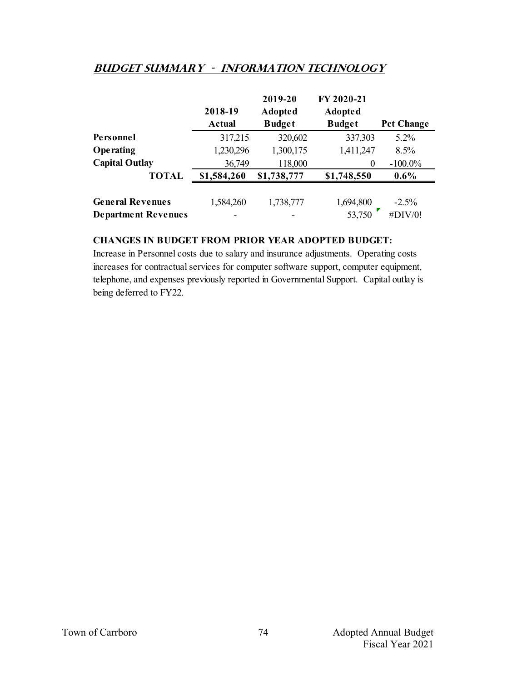## **Budget summary - information technology**

|                                                       | 2018-19<br>Actual | 2019-20<br><b>Adopted</b><br><b>Budget</b> | FY 2020-21<br><b>Adopted</b><br><b>Budget</b> | <b>Pct Change</b>  |
|-------------------------------------------------------|-------------------|--------------------------------------------|-----------------------------------------------|--------------------|
| Personnel                                             | 317,215           | 320,602                                    | 337,303                                       | $5.2\%$            |
| <b>Operating</b>                                      | 1,230,296         | 1,300,175                                  | 1,411,247                                     | 8.5%               |
| <b>Capital Outlay</b>                                 | 36,749            | 118,000                                    | $\theta$                                      | $-100.0\%$         |
| <b>TOTAL</b>                                          | \$1,584,260       | \$1,738,777                                | \$1,748,550                                   | $0.6\%$            |
| <b>General Revenues</b><br><b>Department Revenues</b> | 1,584,260         | 1,738,777                                  | 1,694,800<br>53,750                           | $-2.5%$<br>#DIV/0! |

#### **CHANGES IN BUDGET FROM PRIOR YEAR ADOPTED BUDGET:**

Increase in Personnel costs due to salary and insurance adjustments. Operating costs increases for contractual services for computer software support, computer equipment, telephone, and expenses previously reported in Governmental Support. Capital outlay is being deferred to FY22.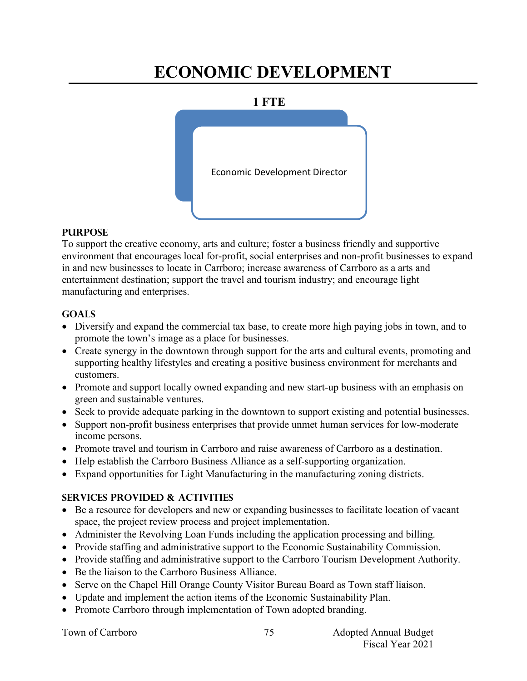# **ECONOMIC DEVELOPMENT**

#### **1 FTE**



#### **PURPOSE**

To support the creative economy, arts and culture; foster a business friendly and supportive environment that encourages local for-profit, social enterprises and non-profit businesses to expand in and new businesses to locate in Carrboro; increase awareness of Carrboro as a arts and entertainment destination; support the travel and tourism industry; and encourage light manufacturing and enterprises.

## **Goals**

- Diversify and expand the commercial tax base, to create more high paying jobs in town, and to promote the town's image as a place for businesses.
- Create synergy in the downtown through support for the arts and cultural events, promoting and supporting healthy lifestyles and creating a positive business environment for merchants and customers.
- Promote and support locally owned expanding and new start-up business with an emphasis on green and sustainable ventures.
- Seek to provide adequate parking in the downtown to support existing and potential businesses.
- Support non-profit business enterprises that provide unmet human services for low-moderate income persons.
- Promote travel and tourism in Carrboro and raise awareness of Carrboro as a destination.
- Help establish the Carrboro Business Alliance as a self-supporting organization.
- Expand opportunities for Light Manufacturing in the manufacturing zoning districts.

## **Services provided & activities**

- Be a resource for developers and new or expanding businesses to facilitate location of vacant space, the project review process and project implementation.
- Administer the Revolving Loan Funds including the application processing and billing.
- Provide staffing and administrative support to the Economic Sustainability Commission.
- Provide staffing and administrative support to the Carrboro Tourism Development Authority.
- Be the liaison to the Carrboro Business Alliance.
- Serve on the Chapel Hill Orange County Visitor Bureau Board as Town staff liaison.
- Update and implement the action items of the Economic Sustainability Plan.
- Promote Carrboro through implementation of Town adopted branding.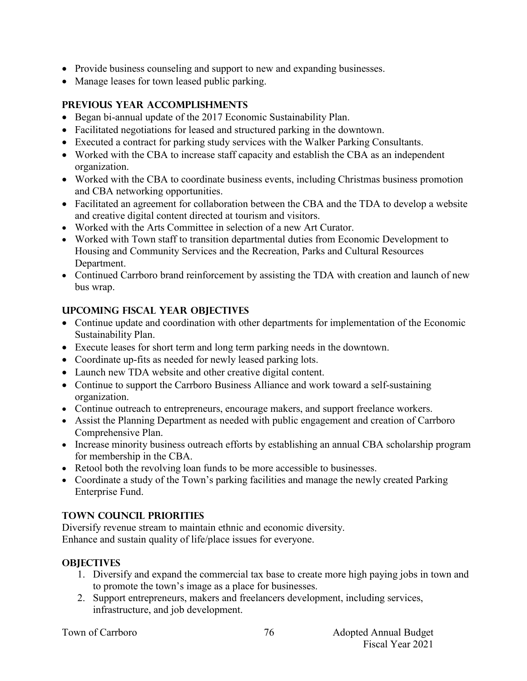- Provide business counseling and support to new and expanding businesses.
- Manage leases for town leased public parking.

## **Previous year accomplishments**

- Began bi-annual update of the 2017 Economic Sustainability Plan.
- Facilitated negotiations for leased and structured parking in the downtown.
- Executed a contract for parking study services with the Walker Parking Consultants.
- Worked with the CBA to increase staff capacity and establish the CBA as an independent organization.
- Worked with the CBA to coordinate business events, including Christmas business promotion and CBA networking opportunities.
- Facilitated an agreement for collaboration between the CBA and the TDA to develop a website and creative digital content directed at tourism and visitors.
- Worked with the Arts Committee in selection of a new Art Curator.
- Worked with Town staff to transition departmental duties from Economic Development to Housing and Community Services and the Recreation, Parks and Cultural Resources Department.
- Continued Carrboro brand reinforcement by assisting the TDA with creation and launch of new bus wrap.

## **Upcoming Fiscal year objectives**

- Continue update and coordination with other departments for implementation of the Economic Sustainability Plan.
- Execute leases for short term and long term parking needs in the downtown.
- Coordinate up-fits as needed for newly leased parking lots.
- Launch new TDA website and other creative digital content.
- Continue to support the Carrboro Business Alliance and work toward a self-sustaining organization.
- Continue outreach to entrepreneurs, encourage makers, and support freelance workers.
- Assist the Planning Department as needed with public engagement and creation of Carrboro Comprehensive Plan.
- Increase minority business outreach efforts by establishing an annual CBA scholarship program for membership in the CBA.
- Retool both the revolving loan funds to be more accessible to businesses.
- Coordinate a study of the Town's parking facilities and manage the newly created Parking Enterprise Fund.

## **TOWN COUNCIL PRIORITIES**

Diversify revenue stream to maintain ethnic and economic diversity. Enhance and sustain quality of life/place issues for everyone.

## **OBJECTIVES**

- 1. Diversify and expand the commercial tax base to create more high paying jobs in town and to promote the town's image as a place for businesses.
- 2. Support entrepreneurs, makers and freelancers development, including services, infrastructure, and job development.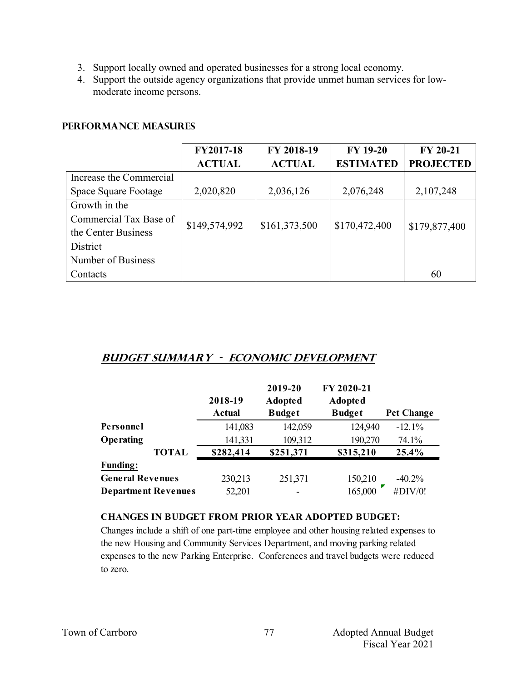- 3. Support locally owned and operated businesses for a strong local economy.
- 4. Support the outside agency organizations that provide unmet human services for lowmoderate income persons.

#### **PERFORMANCE MEASURES**

|                         | FY2017-18     | FY 2018-19    | <b>FY 19-20</b>  | <b>FY 20-21</b>  |
|-------------------------|---------------|---------------|------------------|------------------|
|                         | <b>ACTUAL</b> | <b>ACTUAL</b> | <b>ESTIMATED</b> | <b>PROJECTED</b> |
| Increase the Commercial |               |               |                  |                  |
| Space Square Footage    | 2,020,820     | 2,036,126     | 2,076,248        | 2,107,248        |
| Growth in the           |               |               |                  |                  |
| Commercial Tax Base of  | \$149,574,992 | \$161,373,500 | \$170,472,400    |                  |
| the Center Business     |               |               |                  | \$179,877,400    |
| District                |               |               |                  |                  |
| Number of Business      |               |               |                  |                  |
| Contacts                |               |               |                  | 60               |

## **Budget summary - Economic development**

|                            |              | 2018-19<br><b>Actual</b> | 2019-20<br><b>Adopted</b><br><b>Budget</b> | FY 2020-21<br><b>Adopted</b><br><b>Budget</b> | <b>Pct Change</b> |
|----------------------------|--------------|--------------------------|--------------------------------------------|-----------------------------------------------|-------------------|
| Personnel                  |              | 141,083                  | 142,059                                    | 124,940                                       | $-12.1%$          |
| Operating                  |              | 141,331                  | 109,312                                    | 190,270                                       | 74.1%             |
|                            | <b>TOTAL</b> | \$282,414                | \$251,371                                  | \$315,210                                     | 25.4%             |
| <b>Funding:</b>            |              |                          |                                            |                                               |                   |
| <b>General Revenues</b>    |              | 230,213                  | 251,371                                    | 150,210                                       | $-40.2\%$         |
| <b>Department Revenues</b> |              | 52,201                   |                                            | 165,000                                       | #DIV/0!           |

#### **CHANGES IN BUDGET FROM PRIOR YEAR ADOPTED BUDGET:**

Changes include a shift of one part-time employee and other housing related expenses to the new Housing and Community Services Department, and moving parking related expenses to the new Parking Enterprise. Conferences and travel budgets were reduced to zero.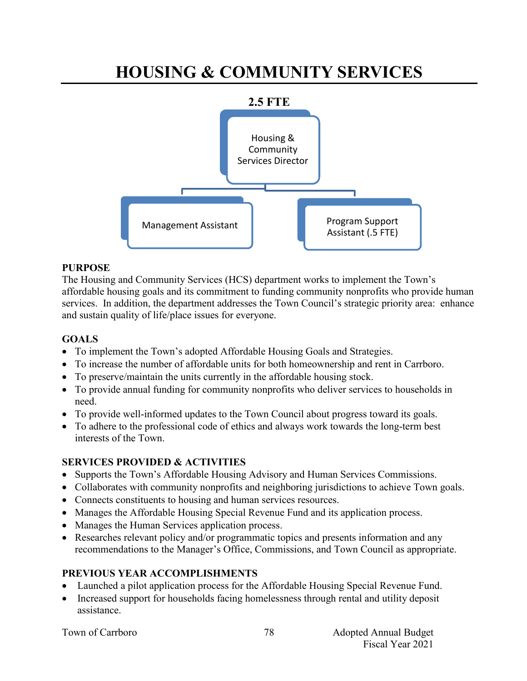# **HOUSING & COMMUNITY SERVICES**



#### **PURPOSE**

The Housing and Community Services (HCS) department works to implement the Town's affordable housing goals and its commitment to funding community nonprofits who provide human services. In addition, the department addresses the Town Council's strategic priority area: enhance and sustain quality of life/place issues for everyone.

### **GOALS**

- To implement the Town's adopted Affordable Housing Goals and Strategies.
- To increase the number of affordable units for both homeownership and rent in Carrboro.
- To preserve/maintain the units currently in the affordable housing stock.
- To provide annual funding for community nonprofits who deliver services to households in need.
- To provide well-informed updates to the Town Council about progress toward its goals.
- To adhere to the professional code of ethics and always work towards the long-term best interests of the Town.

#### **SERVICES PROVIDED & ACTIVITIES**

- Supports the Town's Affordable Housing Advisory and Human Services Commissions.
- Collaborates with community nonprofits and neighboring jurisdictions to achieve Town goals.
- Connects constituents to housing and human services resources.
- Manages the Affordable Housing Special Revenue Fund and its application process.
- Manages the Human Services application process.
- Researches relevant policy and/or programmatic topics and presents information and any recommendations to the Manager's Office, Commissions, and Town Council as appropriate.

#### **PREVIOUS YEAR ACCOMPLISHMENTS**

- Launched a pilot application process for the Affordable Housing Special Revenue Fund.
- Increased support for households facing homelessness through rental and utility deposit assistance.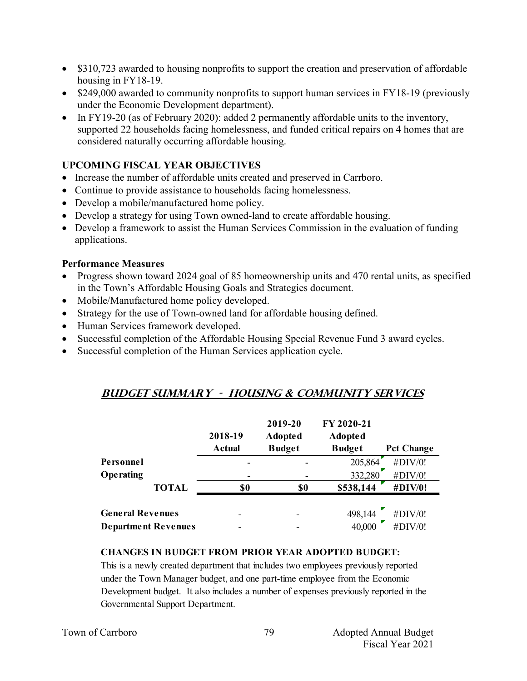- \$310,723 awarded to housing nonprofits to support the creation and preservation of affordable housing in FY18-19.
- \$249,000 awarded to community nonprofits to support human services in FY18-19 (previously under the Economic Development department).
- In FY19-20 (as of February 2020): added 2 permanently affordable units to the inventory, supported 22 households facing homelessness, and funded critical repairs on 4 homes that are considered naturally occurring affordable housing.

## **UPCOMING FISCAL YEAR OBJECTIVES**

- Increase the number of affordable units created and preserved in Carrboro.
- Continue to provide assistance to households facing homelessness.
- Develop a mobile/manufactured home policy.
- Develop a strategy for using Town owned-land to create affordable housing.
- Develop a framework to assist the Human Services Commission in the evaluation of funding applications.

#### **Performance Measures**

- Progress shown toward 2024 goal of 85 homeownership units and 470 rental units, as specified in the Town's Affordable Housing Goals and Strategies document.
- Mobile/Manufactured home policy developed.
- Strategy for the use of Town-owned land for affordable housing defined.
- Human Services framework developed.
- Successful completion of the Affordable Housing Special Revenue Fund 3 award cycles.
- Successful completion of the Human Services application cycle.

#### **Budget summary - HOUSING & Community Services**

|                            | 2018-19<br><b>Actual</b> | 2019-20<br><b>Adopted</b><br><b>Budget</b> | FY 2020-21<br><b>Adopted</b><br><b>Budget</b> | <b>Pct Change</b> |
|----------------------------|--------------------------|--------------------------------------------|-----------------------------------------------|-------------------|
| Personnel                  |                          |                                            | 205,864                                       | #DIV/0!           |
| <b>Operating</b>           | $\overline{\phantom{0}}$ |                                            | 332,280                                       | #DIV/0!           |
| <b>TOTAL</b>               | \$0                      | \$0                                        | \$538,144                                     | #DIV/0!           |
| <b>General Revenues</b>    |                          |                                            | 498,144                                       | #DIV/0!           |
| <b>Department Revenues</b> |                          |                                            | 40,000                                        | #DIV/0!           |

#### **CHANGES IN BUDGET FROM PRIOR YEAR ADOPTED BUDGET:**

This is a newly created department that includes two employees previously reported under the Town Manager budget, and one part-time employee from the Economic Development budget. It also includes a number of expenses previously reported in the Governmental Support Department.

|  | Town of Carrboro |
|--|------------------|
|  |                  |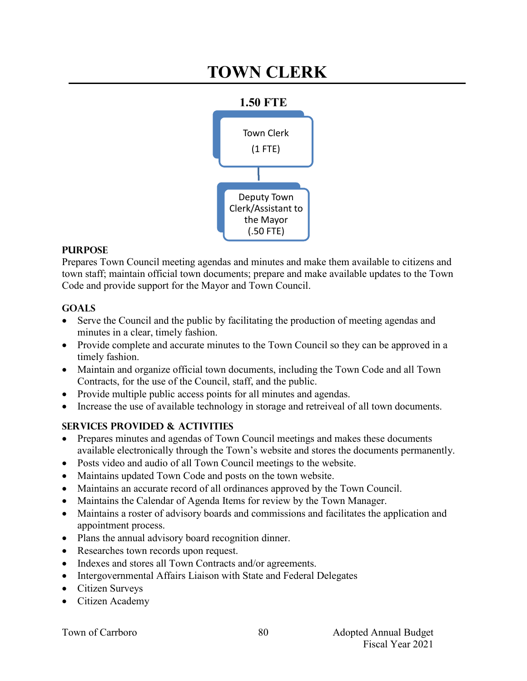# **TOWN CLERK**



## **PURPOSE**

Prepares Town Council meeting agendas and minutes and make them available to citizens and town staff; maintain official town documents; prepare and make available updates to the Town Code and provide support for the Mayor and Town Council.

## **Goals**

- Serve the Council and the public by facilitating the production of meeting agendas and minutes in a clear, timely fashion.
- Provide complete and accurate minutes to the Town Council so they can be approved in a timely fashion.
- Maintain and organize official town documents, including the Town Code and all Town Contracts, for the use of the Council, staff, and the public.
- Provide multiple public access points for all minutes and agendas.
- Increase the use of available technology in storage and retreiveal of all town documents.

## **Services provided & activities**

- Prepares minutes and agendas of Town Council meetings and makes these documents available electronically through the Town's website and stores the documents permanently.
- Posts video and audio of all Town Council meetings to the website.
- Maintains updated Town Code and posts on the town website.
- Maintains an accurate record of all ordinances approved by the Town Council.
- Maintains the Calendar of Agenda Items for review by the Town Manager.
- Maintains a roster of advisory boards and commissions and facilitates the application and appointment process.

80

- Plans the annual advisory board recognition dinner.
- Researches town records upon request.
- Indexes and stores all Town Contracts and/or agreements.
- Intergovernmental Affairs Liaison with State and Federal Delegates
- Citizen Surveys
- Citizen Academy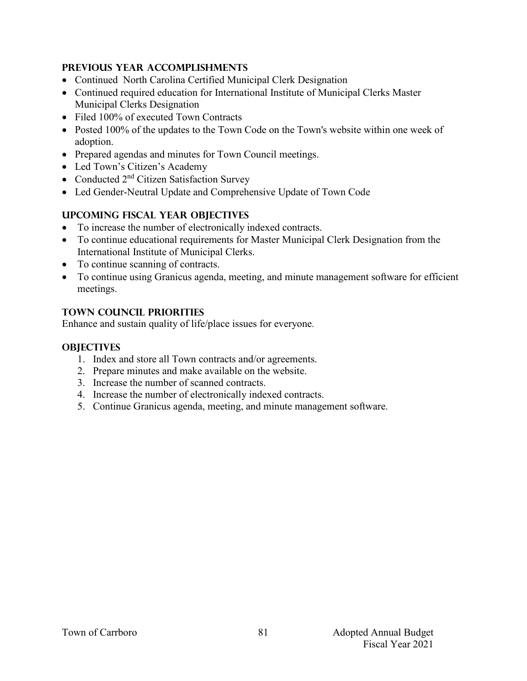## **Previous year accomplishments**

- Continued North Carolina Certified Municipal Clerk Designation
- Continued required education for International Institute of Municipal Clerks Master Municipal Clerks Designation
- Filed 100% of executed Town Contracts
- Posted 100% of the updates to the Town Code on the Town's website within one week of adoption.
- Prepared agendas and minutes for Town Council meetings.
- Led Town's Citizen's Academy
- Conducted  $2<sup>nd</sup>$  Citizen Satisfaction Survey
- Led Gender-Neutral Update and Comprehensive Update of Town Code

## **Upcoming Fiscal year objectives**

- To increase the number of electronically indexed contracts.
- To continue educational requirements for Master Municipal Clerk Designation from the International Institute of Municipal Clerks.
- To continue scanning of contracts.
- To continue using Granicus agenda, meeting, and minute management software for efficient meetings.

## **TOWN COUNCIL PRIORITIES**

Enhance and sustain quality of life/place issues for everyone.

## **OBJECTIVES**

- 1. Index and store all Town contracts and/or agreements.
- 2. Prepare minutes and make available on the website.
- 3. Increase the number of scanned contracts.
- 4. Increase the number of electronically indexed contracts.
- 5. Continue Granicus agenda, meeting, and minute management software.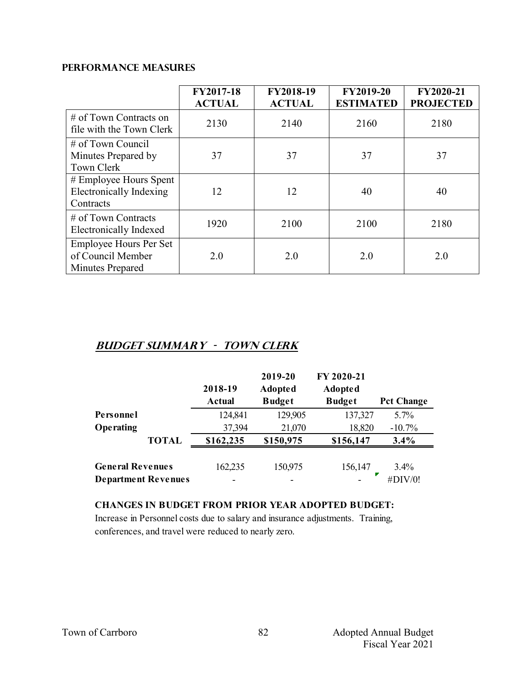#### **PERFORMANCE MEASURES**

|                                                                        | FY2017-18<br><b>ACTUAL</b> | FY2018-19<br><b>ACTUAL</b> | FY2019-20<br><b>ESTIMATED</b> | FY2020-21<br><b>PROJECTED</b> |
|------------------------------------------------------------------------|----------------------------|----------------------------|-------------------------------|-------------------------------|
| $\#$ of Town Contracts on<br>file with the Town Clerk                  | 2130                       | 2140                       | 2160                          | 2180                          |
| $\#$ of Town Council<br>Minutes Prepared by<br><b>Town Clerk</b>       | 37                         | 37                         | 37                            | 37                            |
| # Employee Hours Spent<br>Electronically Indexing<br>Contracts         | 12                         | 12                         | 40                            | 40                            |
| $\#$ of Town Contracts<br><b>Electronically Indexed</b>                | 1920                       | 2100                       | 2100                          | 2180                          |
| <b>Employee Hours Per Set</b><br>of Council Member<br>Minutes Prepared | 2.0                        | 2.0                        | 2.0                           | 2.0                           |

## **Budget summary - Town Clerk**

|                            |              | 2018-19<br><b>Actual</b> | 2019-20<br><b>Adopted</b><br><b>Budget</b> | FY 2020-21<br><b>Adopted</b><br><b>Budget</b> | <b>Pct Change</b> |
|----------------------------|--------------|--------------------------|--------------------------------------------|-----------------------------------------------|-------------------|
| Personnel                  |              | 124,841                  | 129,905                                    | 137,327                                       | 5.7%              |
| <b>Operating</b>           |              | 37,394                   | 21,070                                     | 18,820                                        | $-10.7%$          |
|                            | <b>TOTAL</b> | \$162,235                | \$150,975                                  | \$156,147                                     | 3.4%              |
| <b>General Revenues</b>    |              | 162,235                  | 150,975                                    | 156,147                                       | $3.4\%$           |
| <b>Department Revenues</b> |              |                          |                                            |                                               | #DIV/0!           |

#### **CHANGES IN BUDGET FROM PRIOR YEAR ADOPTED BUDGET:**

Increase in Personnel costs due to salary and insurance adjustments. Training, conferences, and travel were reduced to nearly zero.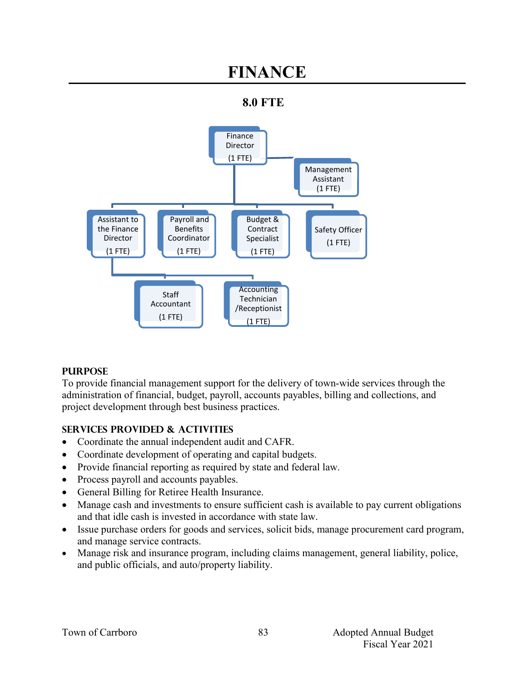## **FINANCE**





#### **PURPOSE**

To provide financial management support for the delivery of town-wide services through the administration of financial, budget, payroll, accounts payables, billing and collections, and project development through best business practices.

## **SERVICES PROVIDED & ACTIVITIES**

- Coordinate the annual independent audit and CAFR.
- Coordinate development of operating and capital budgets.
- Provide financial reporting as required by state and federal law.
- Process payroll and accounts payables.
- General Billing for Retiree Health Insurance.
- Manage cash and investments to ensure sufficient cash is available to pay current obligations and that idle cash is invested in accordance with state law.
- Issue purchase orders for goods and services, solicit bids, manage procurement card program, and manage service contracts.
- Manage risk and insurance program, including claims management, general liability, police, and public officials, and auto/property liability.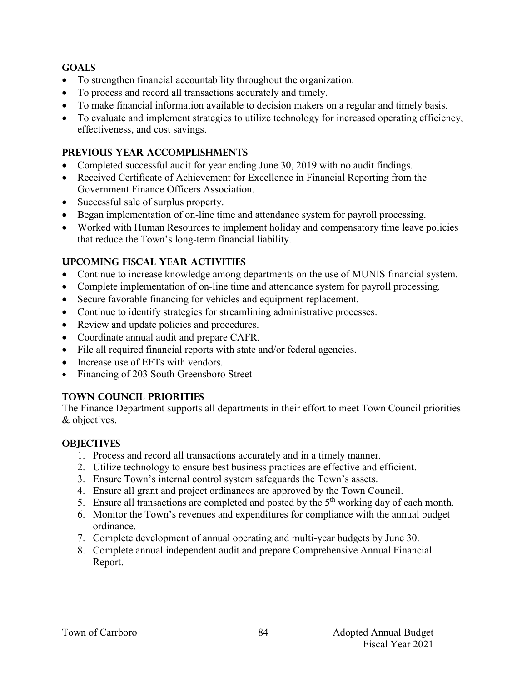### **GOALS**

- To strengthen financial accountability throughout the organization.
- To process and record all transactions accurately and timely.
- To make financial information available to decision makers on a regular and timely basis.
- To evaluate and implement strategies to utilize technology for increased operating efficiency, effectiveness, and cost savings.

## **PREVIOUS YEAR ACCOMPLISHMENTS**

- Completed successful audit for year ending June 30, 2019 with no audit findings.
- Received Certificate of Achievement for Excellence in Financial Reporting from the Government Finance Officers Association.
- Successful sale of surplus property.
- Began implementation of on-line time and attendance system for payroll processing.
- Worked with Human Resources to implement holiday and compensatory time leave policies that reduce the Town's long-term financial liability.

## **UPCOMING FISCAL YEAR ACTIVITIES**

- Continue to increase knowledge among departments on the use of MUNIS financial system.
- Complete implementation of on-line time and attendance system for payroll processing.
- Secure favorable financing for vehicles and equipment replacement.
- Continue to identify strategies for streamlining administrative processes.
- Review and update policies and procedures.
- Coordinate annual audit and prepare CAFR.
- File all required financial reports with state and/or federal agencies.
- Increase use of EFTs with vendors.
- Financing of 203 South Greensboro Street

#### **TOWN COUNCIL PRIORITIES**

The Finance Department supports all departments in their effort to meet Town Council priorities & objectives.

#### **OBJECTIVES**

- 1. Process and record all transactions accurately and in a timely manner.
- 2. Utilize technology to ensure best business practices are effective and efficient.
- 3. Ensure Town's internal control system safeguards the Town's assets.
- 4. Ensure all grant and project ordinances are approved by the Town Council.
- 5. Ensure all transactions are completed and posted by the  $5<sup>th</sup>$  working day of each month.
- 6. Monitor the Town's revenues and expenditures for compliance with the annual budget ordinance.
- 7. Complete development of annual operating and multi-year budgets by June 30.
- 8. Complete annual independent audit and prepare Comprehensive Annual Financial Report.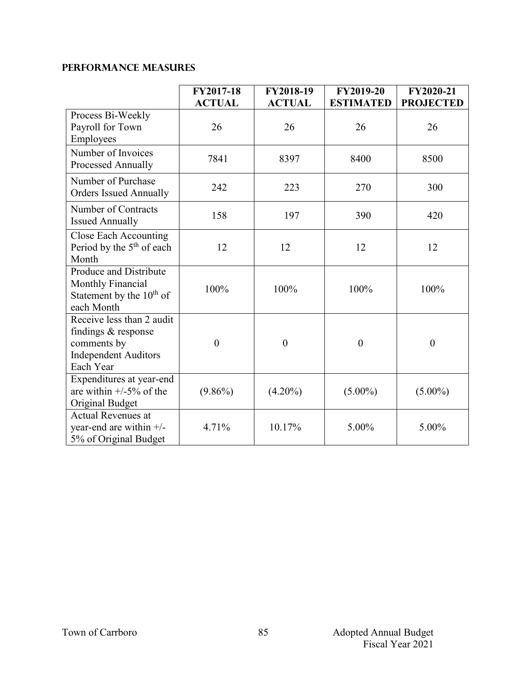## **PERFORMANCE MEASURES**

|                                                                                                             | FY2017-18<br><b>ACTUAL</b> | FY2018-19<br><b>ACTUAL</b> | <b>FY2019-20</b><br><b>ESTIMATED</b> | FY2020-21<br><b>PROJECTED</b> |
|-------------------------------------------------------------------------------------------------------------|----------------------------|----------------------------|--------------------------------------|-------------------------------|
| Process Bi-Weekly<br>Payroll for Town<br>Employees                                                          | 26                         | 26                         | 26                                   | 26                            |
| Number of Invoices<br>Processed Annually                                                                    | 7841                       | 8397                       | 8400                                 | 8500                          |
| Number of Purchase<br><b>Orders Issued Annually</b>                                                         | 242                        | 223                        | 270                                  | 300                           |
| Number of Contracts<br><b>Issued Annually</b>                                                               | 158                        | 197                        | 390                                  | 420                           |
| Close Each Accounting<br>Period by the 5 <sup>th</sup> of each<br>Month                                     | 12                         | 12                         | 12                                   | 12                            |
| Produce and Distribute<br><b>Monthly Financial</b><br>Statement by the $10^{th}$ of<br>each Month           | 100%                       | 100%                       | 100%                                 | 100%                          |
| Receive less than 2 audit<br>findings & response<br>comments by<br><b>Independent Auditors</b><br>Each Year | $\boldsymbol{0}$           | $\boldsymbol{0}$           | $\boldsymbol{0}$                     | $\boldsymbol{0}$              |
| Expenditures at year-end<br>are within $+/-5\%$ of the<br>Original Budget                                   | $(9.86\%)$                 | $(4.20\%)$                 | $(5.00\%)$                           | $(5.00\%)$                    |
| <b>Actual Revenues at</b><br>year-end are within +/-<br>5% of Original Budget                               | 4.71%                      | 10.17%                     | 5.00%                                | 5.00%                         |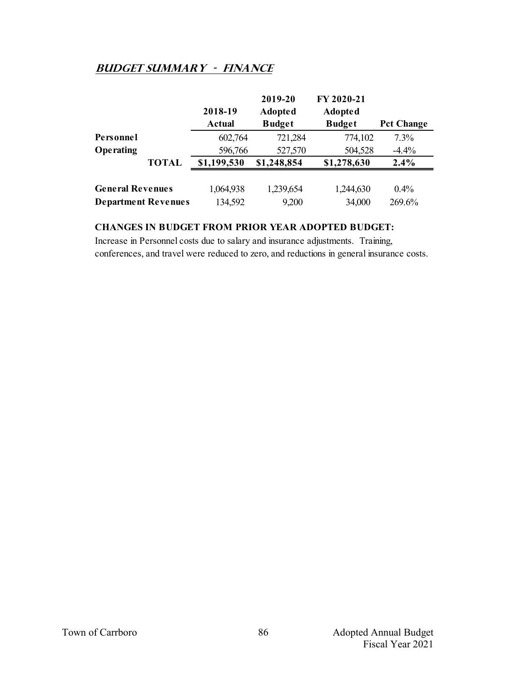## **Budget summary - Finance**

|                            |              |             | 2019-20        | FY 2020-21     |                   |
|----------------------------|--------------|-------------|----------------|----------------|-------------------|
|                            |              | 2018-19     | <b>Adopted</b> | <b>Adopted</b> |                   |
|                            |              | Actual      | <b>Budget</b>  | <b>Budget</b>  | <b>Pct Change</b> |
| Personnel                  |              | 602,764     | 721,284        | 774,102        | 7.3%              |
| Operating                  |              | 596,766     | 527,570        | 504,528        | $-4.4%$           |
|                            | <b>TOTAL</b> | \$1,199,530 | \$1,248,854    | \$1,278,630    | 2.4%              |
|                            |              |             |                |                |                   |
| <b>General Revenues</b>    |              | 1,064,938   | 1,239,654      | 1,244,630      | $0.4\%$           |
| <b>Department Revenues</b> |              | 134,592     | 9,200          | 34,000         | 269.6%            |

#### **CHANGES IN BUDGET FROM PRIOR YEAR ADOPTED BUDGET:**

Increase in Personnel costs due to salary and insurance adjustments. Training, conferences, and travel were reduced to zero, and reductions in general insurance costs.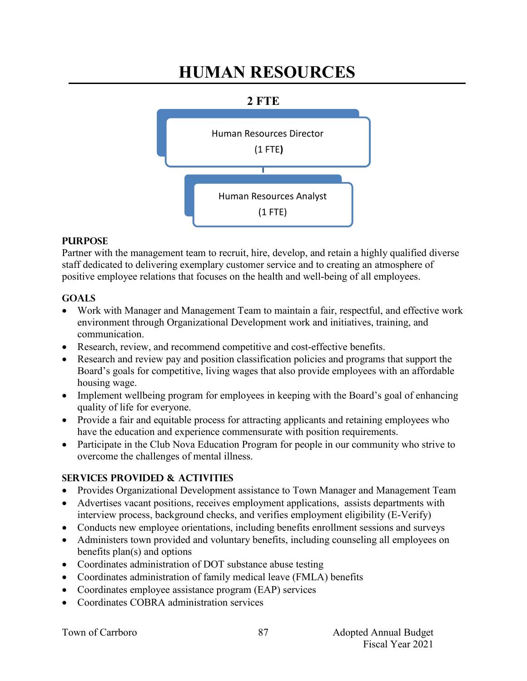# **HUMAN RESOURCES**

## **2 FTE**



## **PURPOSE**

Partner with the management team to recruit, hire, develop, and retain a highly qualified diverse staff dedicated to delivering exemplary customer service and to creating an atmosphere of positive employee relations that focuses on the health and well-being of all employees.

## **GOALS**

- Work with Manager and Management Team to maintain a fair, respectful, and effective work environment through Organizational Development work and initiatives, training, and communication.
- Research, review, and recommend competitive and cost-effective benefits.
- Research and review pay and position classification policies and programs that support the Board's goals for competitive, living wages that also provide employees with an affordable housing wage.
- Implement wellbeing program for employees in keeping with the Board's goal of enhancing quality of life for everyone.
- Provide a fair and equitable process for attracting applicants and retaining employees who have the education and experience commensurate with position requirements.
- Participate in the Club Nova Education Program for people in our community who strive to overcome the challenges of mental illness.

## **SERVICES PROVIDED & ACTIVITIES**

- Provides Organizational Development assistance to Town Manager and Management Team
- Advertises vacant positions, receives employment applications, assists departments with interview process, background checks, and verifies employment eligibility (E-Verify)
- Conducts new employee orientations, including benefits enrollment sessions and surveys
- Administers town provided and voluntary benefits, including counseling all employees on benefits plan(s) and options
- Coordinates administration of DOT substance abuse testing
- Coordinates administration of family medical leave (FMLA) benefits
- Coordinates employee assistance program (EAP) services
- Coordinates COBRA administration services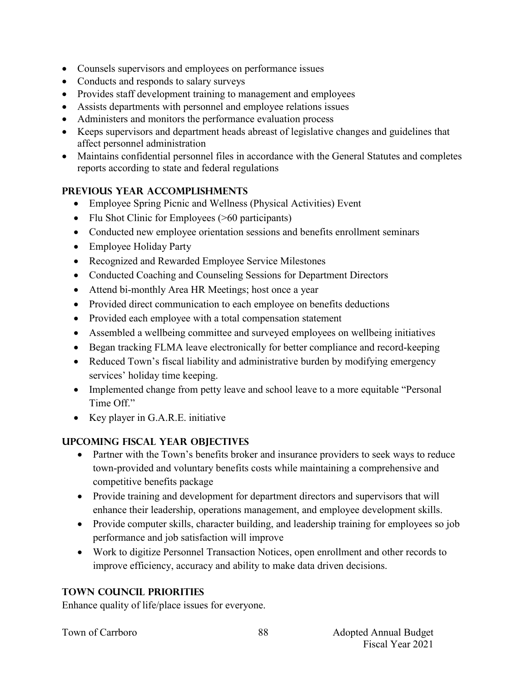- Counsels supervisors and employees on performance issues
- Conducts and responds to salary surveys
- Provides staff development training to management and employees
- Assists departments with personnel and employee relations issues
- Administers and monitors the performance evaluation process
- Keeps supervisors and department heads abreast of legislative changes and guidelines that affect personnel administration
- Maintains confidential personnel files in accordance with the General Statutes and completes reports according to state and federal regulations

## **PREVIOUS YEAR ACCOMPLISHMENTS**

- Employee Spring Picnic and Wellness (Physical Activities) Event
- Flu Shot Clinic for Employees (>60 participants)
- Conducted new employee orientation sessions and benefits enrollment seminars
- Employee Holiday Party
- Recognized and Rewarded Employee Service Milestones
- Conducted Coaching and Counseling Sessions for Department Directors
- Attend bi-monthly Area HR Meetings; host once a year
- Provided direct communication to each employee on benefits deductions
- Provided each employee with a total compensation statement
- Assembled a wellbeing committee and surveyed employees on wellbeing initiatives
- Began tracking FLMA leave electronically for better compliance and record-keeping
- Reduced Town's fiscal liability and administrative burden by modifying emergency services' holiday time keeping.
- Implemented change from petty leave and school leave to a more equitable "Personal" Time Off."
- Key player in G.A.R.E. initiative

## **UPCOMING FISCAL YEAR OBJECTIVES**

- Partner with the Town's benefits broker and insurance providers to seek ways to reduce town-provided and voluntary benefits costs while maintaining a comprehensive and competitive benefits package
- Provide training and development for department directors and supervisors that will enhance their leadership, operations management, and employee development skills.
- Provide computer skills, character building, and leadership training for employees so job performance and job satisfaction will improve
- Work to digitize Personnel Transaction Notices, open enrollment and other records to improve efficiency, accuracy and ability to make data driven decisions.

## **TOWN COUNCIL PRIORITIES**

Enhance quality of life/place issues for everyone.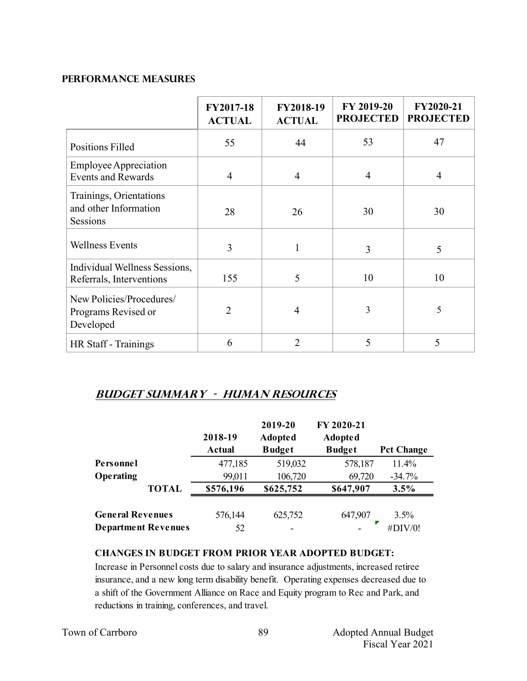#### **PERFORMANCE MEASURES**

|                                                              | FY2017-18<br><b>ACTUAL</b> | FY2018-19<br><b>ACTUAL</b> | FY 2019-20<br><b>PROJECTED</b> | FY2020-21<br><b>PROJECTED</b> |
|--------------------------------------------------------------|----------------------------|----------------------------|--------------------------------|-------------------------------|
| <b>Positions Filled</b>                                      | 55                         | 44                         | 53                             | 47                            |
| <b>Employee Appreciation</b><br><b>Events and Rewards</b>    | $\overline{4}$             | $\overline{4}$             | 4                              | 4                             |
| Trainings, Orientations<br>and other Information<br>Sessions | 28                         | 26                         | 30                             | 30                            |
| <b>Wellness Events</b>                                       | 3                          | 1                          | 3                              | 5                             |
| Individual Wellness Sessions,<br>Referrals, Interventions    | 155                        | 5                          | 10                             | 10                            |
| New Policies/Procedures/<br>Programs Revised or<br>Developed | $\overline{2}$             | 4                          | 3                              | 5                             |
| HR Staff - Trainings                                         | 6                          | $\overline{2}$             | 5                              | 5                             |

## **Budget summary - human resources**

|                         |                            | 2018-19<br><b>Actual</b> | 2019-20<br><b>Adopted</b><br><b>Budget</b> | FY 2020-21<br><b>Adopted</b><br><b>Budget</b> | <b>Pct Change</b> |
|-------------------------|----------------------------|--------------------------|--------------------------------------------|-----------------------------------------------|-------------------|
| Personnel               |                            | 477,185                  | 519,032                                    | 578,187                                       | 11.4%             |
| <b>Operating</b>        |                            | 99,011                   | 106,720                                    | 69,720                                        | $-34.7%$          |
|                         | <b>TOTAL</b>               | \$576,196                | \$625,752                                  | \$647,907                                     | 3.5%              |
| <b>General Revenues</b> |                            | 576,144                  | 625,752                                    | 647,907                                       | 3.5%              |
|                         | <b>Department Revenues</b> | 52                       |                                            |                                               | #DIV/0!           |

#### **CHANGES IN BUDGET FROM PRIOR YEAR ADOPTED BUDGET:**

Increase in Personnel costs due to salary and insurance adjustments, increased retiree insurance, and a new long term disability benefit. Operating expenses decreased due to a shift of the Government Alliance on Race and Equity program to Rec and Park, and reductions in training, conferences, and travel.